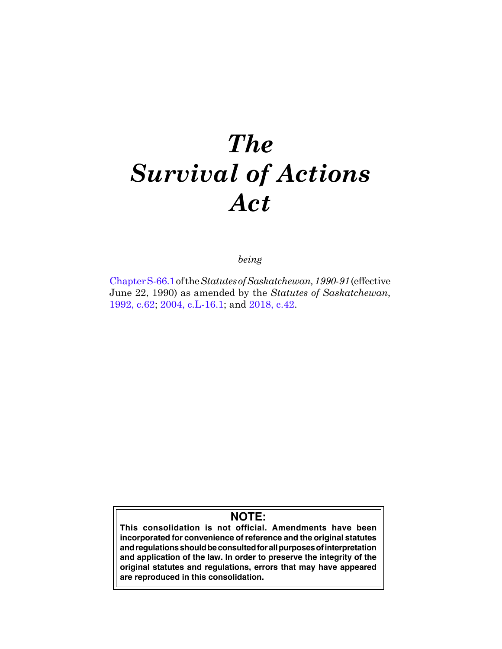# *The Survival of Actions Act*

*being*

[Chapter S-66.1](https://publications.saskatchewan.ca:443/api/v1/products/24743/formats/31846/download) of the *Statutes of Saskatchewan, 1990-91* (effective June 22, 1990) as amended by the *Statutes of Saskatchewan*, [1992, c.62;](https://publications.saskatchewan.ca:443/api/v1/products/25260/formats/32640/download) [2004, c.L-16.1;](https://publications.saskatchewan.ca:443/api/v1/products/9371/formats/14125/download) and [2018, c.42](https://publications.saskatchewan.ca:443/api/v1/products/90531/formats/107441/download).

# **NOTE:**

**This consolidation is not official. Amendments have been incorporated for convenience of reference and the original statutes and regulations should be consulted for all purposes of interpretation and application of the law. In order to preserve the integrity of the original statutes and regulations, errors that may have appeared are reproduced in this consolidation.**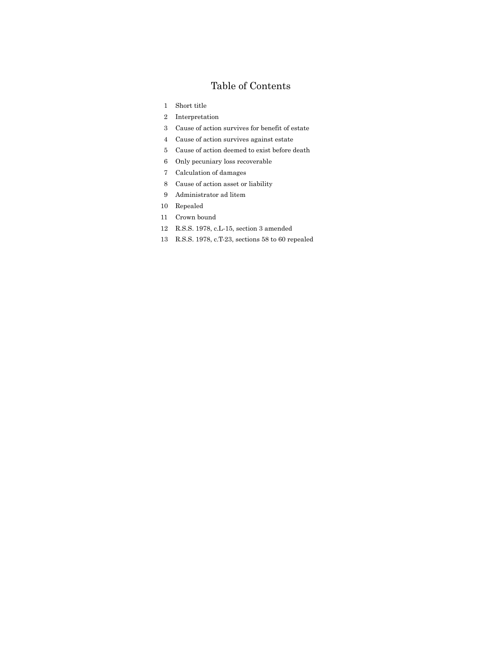# Table of Contents

- Short title
- Interpretation
- Cause of action survives for benefit of estate
- Cause of action survives against estate
- Cause of action deemed to exist before death
- Only pecuniary loss recoverable
- Calculation of damages
- Cause of action asset or liability
- Administrator ad litem
- Repealed
- Crown bound
- R.S.S. 1978, c.L-15, section 3 amended
- R.S.S. 1978, c.T-23, sections 58 to 60 repealed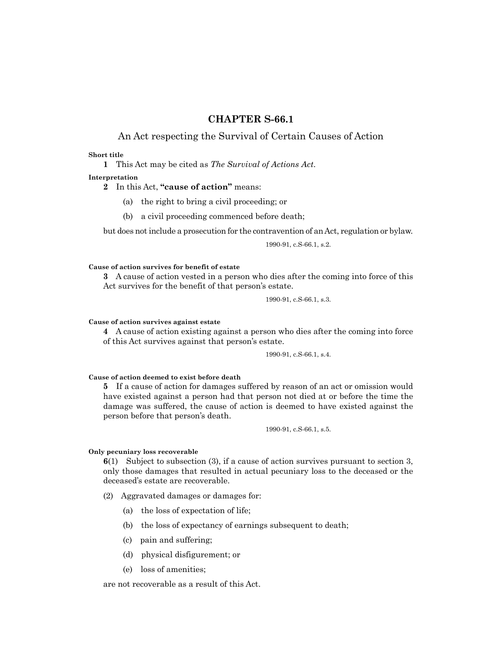# **CHAPTER S-66.1**

# An Act respecting the Survival of Certain Causes of Action

#### **Short title**

**1** This Act may be cited as *The Survival of Actions Act*.

#### **Interpretation**

**2** In this Act, **"cause of action"** means:

- (a) the right to bring a civil proceeding; or
- (b) a civil proceeding commenced before death;

but does not include a prosecution for the contravention of an Act, regulation or bylaw.

1990-91, c.S-66.1, s.2.

#### **Cause of action survives for benefit of estate**

**3** A cause of action vested in a person who dies after the coming into force of this Act survives for the benefit of that person's estate.

1990-91, c.S-66.1, s.3.

#### **Cause of action survives against estate**

**4** A cause of action existing against a person who dies after the coming into force of this Act survives against that person's estate.

1990-91, c.S-66.1, s.4.

### **Cause of action deemed to exist before death**

**5** If a cause of action for damages suffered by reason of an act or omission would have existed against a person had that person not died at or before the time the damage was suffered, the cause of action is deemed to have existed against the person before that person's death.

1990-91, c.S-66.1, s.5.

#### **Only pecuniary loss recoverable**

**6**(1) Subject to subsection (3), if a cause of action survives pursuant to section 3, only those damages that resulted in actual pecuniary loss to the deceased or the deceased's estate are recoverable.

(2) Aggravated damages or damages for:

- (a) the loss of expectation of life;
- (b) the loss of expectancy of earnings subsequent to death;
- (c) pain and suffering;
- (d) physical disfigurement; or
- (e) loss of amenities;

are not recoverable as a result of this Act.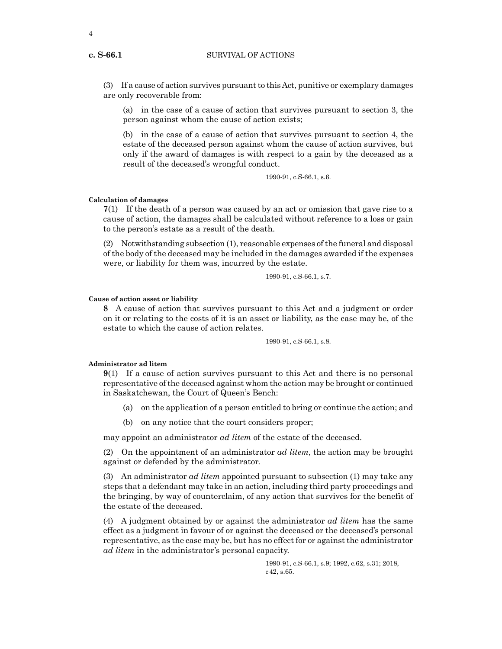#### **c. S-66.1** SURVIVAL OF ACTIONS

(3) If a cause of action survives pursuant to this Act, punitive or exemplary damages are only recoverable from:

(a) in the case of a cause of action that survives pursuant to section 3, the person against whom the cause of action exists;

(b) in the case of a cause of action that survives pursuant to section 4, the estate of the deceased person against whom the cause of action survives, but only if the award of damages is with respect to a gain by the deceased as a result of the deceased's wrongful conduct.

1990-91, c.S-66.1, s.6.

#### **Calculation of damages**

**7**(1) If the death of a person was caused by an act or omission that gave rise to a cause of action, the damages shall be calculated without reference to a loss or gain to the person's estate as a result of the death.

(2) Notwithstanding subsection (1), reasonable expenses of the funeral and disposal of the body of the deceased may be included in the damages awarded if the expenses were, or liability for them was, incurred by the estate.

1990-91, c.S-66.1, s.7.

#### **Cause of action asset or liability**

**8** A cause of action that survives pursuant to this Act and a judgment or order on it or relating to the costs of it is an asset or liability, as the case may be, of the estate to which the cause of action relates.

1990-91, c.S-66.1, s.8.

### **Administrator ad litem**

**9**(1) If a cause of action survives pursuant to this Act and there is no personal representative of the deceased against whom the action may be brought or continued in Saskatchewan, the Court of Queen's Bench:

- (a) on the application of a person entitled to bring or continue the action; and
- (b) on any notice that the court considers proper;

may appoint an administrator *ad litem* of the estate of the deceased.

(2) On the appointment of an administrator *ad litem*, the action may be brought against or defended by the administrator.

(3) An administrator *ad litem* appointed pursuant to subsection (1) may take any steps that a defendant may take in an action, including third party proceedings and the bringing, by way of counterclaim, of any action that survives for the benefit of the estate of the deceased.

(4) A judgment obtained by or against the administrator *ad litem* has the same effect as a judgment in favour of or against the deceased or the deceased's personal representative, as the case may be, but has no effect for or against the administrator *ad litem* in the administrator's personal capacity.

> 1990-91, c.S-66.1, s.9; 1992, c.62, s.31; 2018, c42, s.65.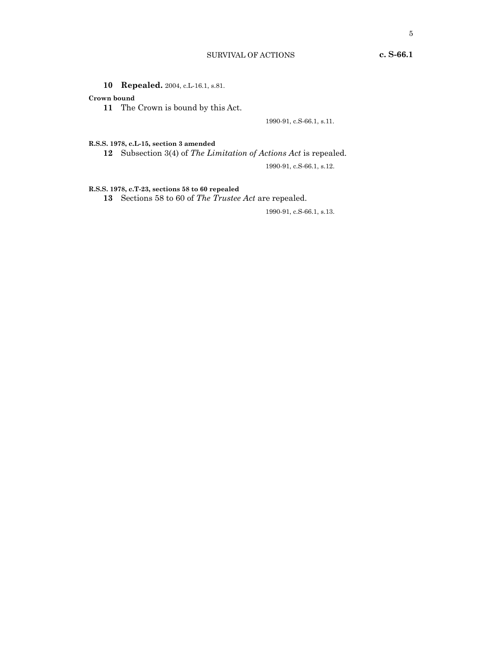**10 Repealed.** 2004, c.L-16.1, s.81.

# **Crown bound**

**11** The Crown is bound by this Act.

1990-91, c.S-66.1, s.11.

# **R.S.S. 1978, c.L-15, section 3 amended**

**12** Subsection 3(4) of *The Limitation of Actions Act* is repealed.

1990-91, c.S-66.1, s.12.

# **R.S.S. 1978, c.T-23, sections 58 to 60 repealed**

**13** Sections 58 to 60 of *The Trustee Act* are repealed.

1990-91, c.S-66.1, s.13.